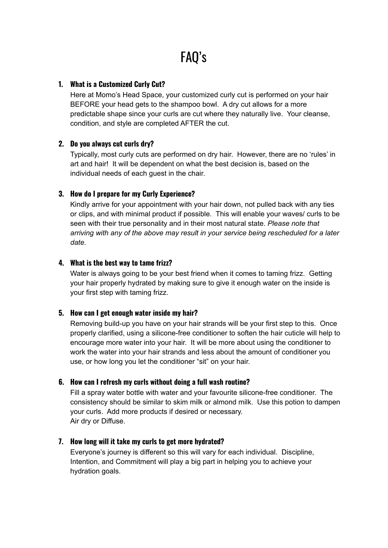# **1. What is a Customized Curly Cut?**

Here at Momo's Head Space, your customized curly cut is performed on your hair BEFORE your head gets to the shampoo bowl. A dry cut allows for a more predictable shape since your curls are cut where they naturally live. Your cleanse, condition, and style are completed AFTER the cut.

## **2. Do you always cut curls dry?**

Typically, most curly cuts are performed on dry hair. However, there are no 'rules' in art and hair! It will be dependent on what the best decision is, based on the individual needs of each guest in the chair.

## **3. How do I prepare for my Curly Experience?**

Kindly arrive for your appointment with your hair down, not pulled back with any ties or clips, and with minimal product if possible. This will enable your waves/ curls to be seen with their true personality and in their most natural state. *Please note that arriving with any of the above may result in your service being rescheduled for a later date.*

## **4. What is the best way to tame frizz?**

Water is always going to be your best friend when it comes to taming frizz. Getting your hair properly hydrated by making sure to give it enough water on the inside is your first step with taming frizz.

## **5. How can I get enough water inside my hair?**

Removing build-up you have on your hair strands will be your first step to this. Once properly clarified, using a silicone-free conditioner to soften the hair cuticle will help to encourage more water into your hair. It will be more about using the conditioner to work the water into your hair strands and less about the amount of conditioner you use, or how long you let the conditioner "sit" on your hair.

## **6. How can I refresh my curls without doing a full wash routine?**

Fill a spray water bottle with water and your favourite silicone-free conditioner. The consistency should be similar to skim milk or almond milk. Use this potion to dampen your curls. Add more products if desired or necessary. Air dry or Diffuse.

## **7. How long will it take my curls to get more hydrated?**

Everyone's journey is different so this will vary for each individual. Discipline, Intention, and Commitment will play a big part in helping you to achieve your hydration goals.